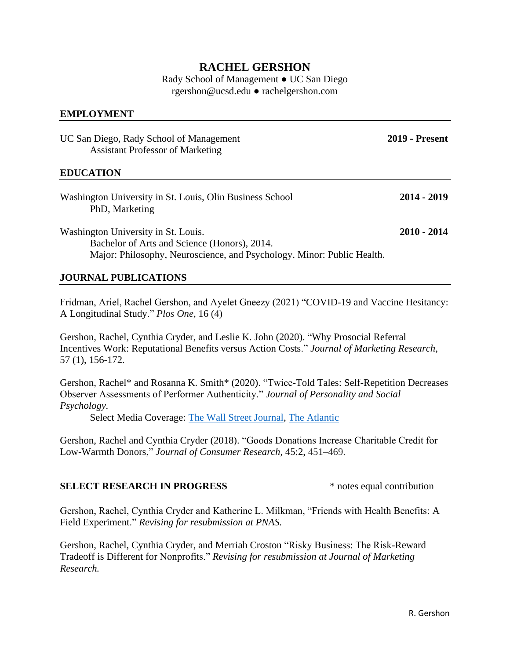# **RACHEL GERSHON**

Rady School of Management ● UC San Diego rgershon@ucsd.edu ● rachelgershon.com

## **EMPLOYMENT**

| UC San Diego, Rady School of Management<br><b>Assistant Professor of Marketing</b>                                                                            | <b>2019 - Present</b> |
|---------------------------------------------------------------------------------------------------------------------------------------------------------------|-----------------------|
| <b>EDUCATION</b>                                                                                                                                              |                       |
| Washington University in St. Louis, Olin Business School<br>PhD, Marketing                                                                                    | 2014 - 2019           |
| Washington University in St. Louis.<br>Bachelor of Arts and Science (Honors), 2014.<br>Major: Philosophy, Neuroscience, and Psychology. Minor: Public Health. | 2010 - 2014           |

## **JOURNAL PUBLICATIONS**

Fridman, Ariel, Rachel Gershon, and Ayelet Gneezy (2021) "COVID-19 and Vaccine Hesitancy: A Longitudinal Study." *Plos One,* 16 (4)

Gershon, Rachel, Cynthia Cryder, and Leslie K. John (2020). "Why Prosocial Referral Incentives Work: Reputational Benefits versus Action Costs." *Journal of Marketing Research*, 57 (1), 156-172.

Gershon, Rachel\* and Rosanna K. Smith\* (2020). "Twice-Told Tales: Self-Repetition Decreases Observer Assessments of Performer Authenticity." *Journal of Personality and Social Psychology.*

Select Media Coverage: [The Wall Street Journal,](https://www.wsj.com/articles/youve-told-that-story-100-times-please-stop-11553950801) [The Atlantic](https://www.theatlantic.com/ideas/archive/2019/04/what-makes-candidate-authentic/587857/)

Gershon, Rachel and Cynthia Cryder (2018). "Goods Donations Increase Charitable Credit for Low-Warmth Donors," *Journal of Consumer Research,* 45:2, 451–469.

## **SELECT RESEARCH IN PROGRESS** \* notes equal contribution

Gershon, Rachel, Cynthia Cryder and Katherine L. Milkman, "Friends with Health Benefits: A Field Experiment." *Revising for resubmission at PNAS.*

Gershon, Rachel, Cynthia Cryder, and Merriah Croston "Risky Business: The Risk-Reward Tradeoff is Different for Nonprofits." *Revising for resubmission at Journal of Marketing Research.*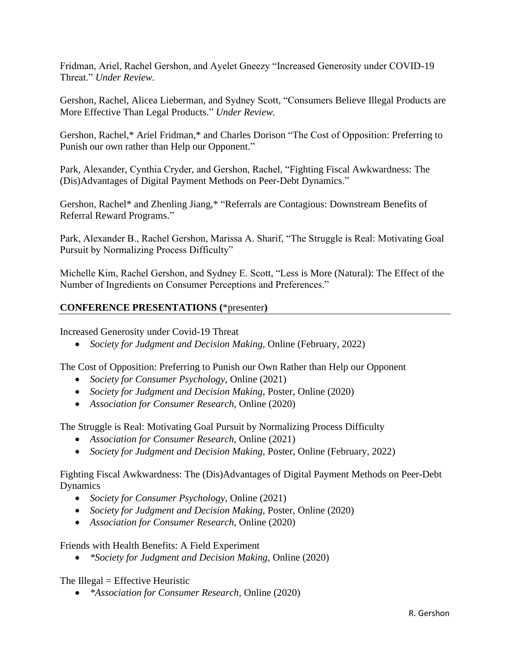Fridman, Ariel, Rachel Gershon, and Ayelet Gneezy "Increased Generosity under COVID-19 Threat." *Under Review.*

Gershon, Rachel, Alicea Lieberman, and Sydney Scott, "Consumers Believe Illegal Products are More Effective Than Legal Products." *Under Review.*

Gershon, Rachel,\* Ariel Fridman,\* and Charles Dorison "The Cost of Opposition: Preferring to Punish our own rather than Help our Opponent."

Park, Alexander, Cynthia Cryder, and Gershon, Rachel, "Fighting Fiscal Awkwardness: The (Dis)Advantages of Digital Payment Methods on Peer-Debt Dynamics."

Gershon, Rachel\* and Zhenling Jiang,\* "Referrals are Contagious: Downstream Benefits of Referral Reward Programs."

Park, Alexander B., Rachel Gershon, Marissa A. Sharif, "The Struggle is Real: Motivating Goal Pursuit by Normalizing Process Difficulty"

Michelle Kim, Rachel Gershon, and Sydney E. Scott, "Less is More (Natural): The Effect of the Number of Ingredients on Consumer Perceptions and Preferences."

# **CONFERENCE PRESENTATIONS (**\*presenter**)**

Increased Generosity under Covid-19 Threat

• *Society for Judgment and Decision Making,* Online (February, 2022)

The Cost of Opposition: Preferring to Punish our Own Rather than Help our Opponent

- *Society for Consumer Psychology,* Online (2021)
- *Society for Judgment and Decision Making, Poster, Online (2020)*
- *Association for Consumer Research,* Online (2020)

The Struggle is Real: Motivating Goal Pursuit by Normalizing Process Difficulty

- *Association for Consumer Research,* Online (2021)
- *Society for Judgment and Decision Making,* Poster, Online (February, 2022)

Fighting Fiscal Awkwardness: The (Dis)Advantages of Digital Payment Methods on Peer-Debt Dynamics

- *Society for Consumer Psychology,* Online (2021)
- *Society for Judgment and Decision Making,* Poster, Online (2020)
- *Association for Consumer Research,* Online (2020)

Friends with Health Benefits: A Field Experiment

• *\*Society for Judgment and Decision Making*, Online (2020)

The Illegal  $=$  Effective Heuristic

• *\*Association for Consumer Research,* Online (2020)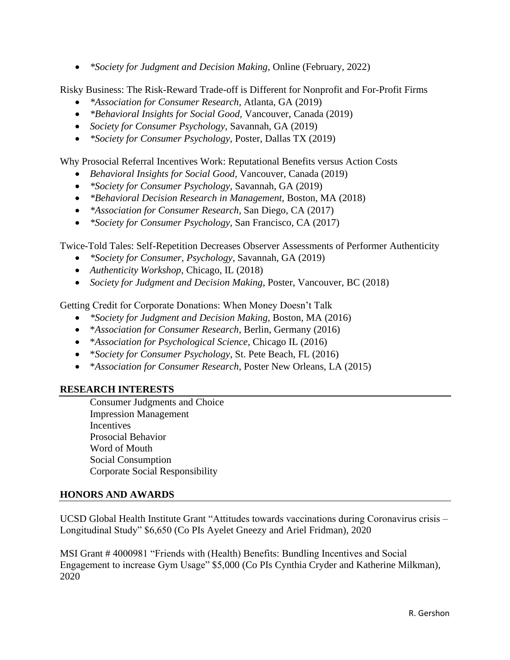• *\*Society for Judgment and Decision Making,* Online (February, 2022)

Risky Business: The Risk-Reward Trade-off is Different for Nonprofit and For-Profit Firms

- *\*Association for Consumer Research,* Atlanta, GA (2019)
- *\*Behavioral Insights for Social Good,* Vancouver, Canada (2019)
- *Society for Consumer Psychology,* Savannah, GA (2019)
- *\*Society for Consumer Psychology,* Poster, Dallas TX (2019)

Why Prosocial Referral Incentives Work: Reputational Benefits versus Action Costs

- *Behavioral Insights for Social Good,* Vancouver, Canada (2019)
- *\*Society for Consumer Psychology,* Savannah, GA (2019)
- *\*Behavioral Decision Research in Management,* Boston, MA (2018)
- *\*Association for Consumer Research,* San Diego, CA (2017)
- *\*Society for Consumer Psychology,* San Francisco, CA (2017)

Twice-Told Tales: Self-Repetition Decreases Observer Assessments of Performer Authenticity

- *\*Society for Consumer, Psychology,* Savannah, GA (2019)
- *Authenticity Workshop*, Chicago, IL (2018)
- *Society for Judgment and Decision Making*, Poster, Vancouver, BC (2018)

Getting Credit for Corporate Donations: When Money Doesn't Talk

- *\*Society for Judgment and Decision Making,* Boston, MA (2016)
- \**Association for Consumer Research*, Berlin, Germany (2016)
- \**Association for Psychological Science*, Chicago IL (2016)
- \**Society for Consumer Psychology*, St. Pete Beach, FL (2016)
- \**Association for Consumer Research*, Poster New Orleans, LA (2015)

## **RESEARCH INTERESTS**

Consumer Judgments and Choice Impression Management **Incentives** Prosocial Behavior Word of Mouth Social Consumption Corporate Social Responsibility

## **HONORS AND AWARDS**

UCSD Global Health Institute Grant "Attitudes towards vaccinations during Coronavirus crisis – Longitudinal Study" \$6,650 (Co PIs Ayelet Gneezy and Ariel Fridman), 2020

MSI Grant # 4000981 "Friends with (Health) Benefits: Bundling Incentives and Social Engagement to increase Gym Usage" \$5,000 (Co PIs Cynthia Cryder and Katherine Milkman), 2020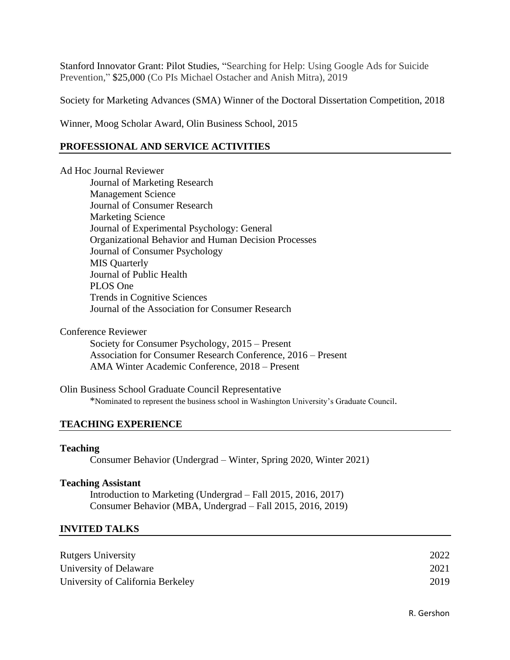Stanford Innovator Grant: Pilot Studies, "Searching for Help: Using Google Ads for Suicide Prevention," \$25,000 (Co PIs Michael Ostacher and Anish Mitra), 2019

Society for Marketing Advances (SMA) Winner of the Doctoral Dissertation Competition, 2018

Winner, Moog Scholar Award, Olin Business School, 2015

## **PROFESSIONAL AND SERVICE ACTIVITIES**

Ad Hoc Journal Reviewer

Journal of Marketing Research Management Science Journal of Consumer Research Marketing Science Journal of Experimental Psychology: General Organizational Behavior and Human Decision Processes Journal of Consumer Psychology MIS Quarterly Journal of Public Health PLOS One Trends in Cognitive Sciences Journal of the Association for Consumer Research

Conference Reviewer

Society for Consumer Psychology, 2015 – Present Association for Consumer Research Conference, 2016 – Present AMA Winter Academic Conference, 2018 – Present

Olin Business School Graduate Council Representative \*Nominated to represent the business school in Washington University's Graduate Council.

#### **TEACHING EXPERIENCE**

#### **Teaching**

Consumer Behavior (Undergrad – Winter, Spring 2020, Winter 2021)

#### **Teaching Assistant**

Introduction to Marketing (Undergrad – Fall 2015, 2016, 2017) Consumer Behavior (MBA, Undergrad – Fall 2015, 2016, 2019)

#### **INVITED TALKS**

| <b>Rutgers University</b>         | 2022 |
|-----------------------------------|------|
| University of Delaware            | 2021 |
| University of California Berkeley | 2019 |